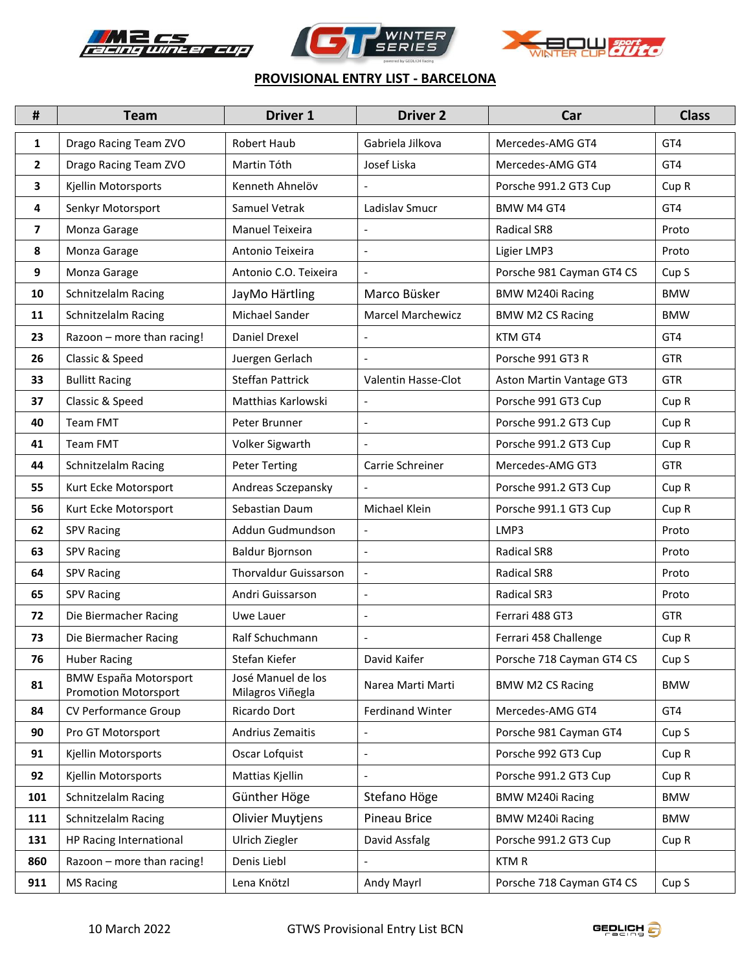





## **PROVISIONAL ENTRY LIST - BARCELONA**

| $\pmb{\sharp}$ | <b>Team</b>                                                 | <b>Driver 1</b>                        | <b>Driver 2</b>          | Car                       | <b>Class</b>     |
|----------------|-------------------------------------------------------------|----------------------------------------|--------------------------|---------------------------|------------------|
| 1              | Drago Racing Team ZVO                                       | <b>Robert Haub</b>                     | Gabriela Jilkova         | Mercedes-AMG GT4          | GT4              |
| $\mathbf{2}$   | Drago Racing Team ZVO                                       | Martin Tóth                            | Josef Liska              | Mercedes-AMG GT4          | GT4              |
| 3              | Kjellin Motorsports                                         | Kenneth Ahnelöv                        |                          | Porsche 991.2 GT3 Cup     | Cup <sub>R</sub> |
| 4              | Senkyr Motorsport                                           | Samuel Vetrak                          | Ladislav Smucr           | <b>BMW M4 GT4</b>         | GT4              |
| $\overline{ }$ | Monza Garage                                                | <b>Manuel Teixeira</b>                 | $\overline{a}$           | <b>Radical SR8</b>        | Proto            |
| 8              | Monza Garage                                                | Antonio Teixeira                       |                          | Ligier LMP3               | Proto            |
| 9              | Monza Garage                                                | Antonio C.O. Teixeira                  | $\overline{\phantom{a}}$ | Porsche 981 Cayman GT4 CS | Cup <sub>S</sub> |
| 10             | Schnitzelalm Racing                                         | JayMo Härtling                         | Marco Büsker             | <b>BMW M240i Racing</b>   | <b>BMW</b>       |
| 11             | Schnitzelalm Racing                                         | Michael Sander                         | <b>Marcel Marchewicz</b> | <b>BMW M2 CS Racing</b>   | <b>BMW</b>       |
| 23             | Razoon - more than racing!                                  | Daniel Drexel                          |                          | KTM GT4                   | GT4              |
| 26             | Classic & Speed                                             | Juergen Gerlach                        | $\overline{\phantom{a}}$ | Porsche 991 GT3 R         | <b>GTR</b>       |
| 33             | <b>Bullitt Racing</b>                                       | <b>Steffan Pattrick</b>                | Valentin Hasse-Clot      | Aston Martin Vantage GT3  | <b>GTR</b>       |
| 37             | Classic & Speed                                             | Matthias Karlowski                     | $\blacksquare$           | Porsche 991 GT3 Cup       | Cup <sub>R</sub> |
| 40             | <b>Team FMT</b>                                             | Peter Brunner                          | $\overline{a}$           | Porsche 991.2 GT3 Cup     | Cup <sub>R</sub> |
| 41             | <b>Team FMT</b>                                             | Volker Sigwarth                        |                          | Porsche 991.2 GT3 Cup     | Cup <sub>R</sub> |
| 44             | Schnitzelalm Racing                                         | <b>Peter Terting</b>                   | Carrie Schreiner         | Mercedes-AMG GT3          | <b>GTR</b>       |
| 55             | Kurt Ecke Motorsport                                        | Andreas Sczepansky                     |                          | Porsche 991.2 GT3 Cup     | Cup <sub>R</sub> |
| 56             | Kurt Ecke Motorsport                                        | Sebastian Daum                         | Michael Klein            | Porsche 991.1 GT3 Cup     | Cup <sub>R</sub> |
| 62             | <b>SPV Racing</b>                                           | Addun Gudmundson                       |                          | LMP3                      | Proto            |
| 63             | <b>SPV Racing</b>                                           | Baldur Bjornson                        | $\overline{a}$           | <b>Radical SR8</b>        | Proto            |
| 64             | <b>SPV Racing</b>                                           | <b>Thorvaldur Guissarson</b>           | $\blacksquare$           | Radical SR8               | Proto            |
| 65             | <b>SPV Racing</b>                                           | Andri Guissarson                       | $\blacksquare$           | Radical SR3               | Proto            |
| 72             | Die Biermacher Racing                                       | Uwe Lauer                              | $\overline{a}$           | Ferrari 488 GT3           | <b>GTR</b>       |
| 73             | Die Biermacher Racing                                       | Ralf Schuchmann                        | $\overline{a}$           | Ferrari 458 Challenge     | Cup <sub>R</sub> |
| 76             | Huber Racing                                                | Stefan Kiefer                          | David Kaifer             | Porsche 718 Cayman GT4 CS | Cup S            |
| 81             | <b>BMW España Motorsport</b><br><b>Promotion Motorsport</b> | José Manuel de los<br>Milagros Viñegla | Narea Marti Marti        | <b>BMW M2 CS Racing</b>   | <b>BMW</b>       |
| 84             | CV Performance Group                                        | Ricardo Dort                           | <b>Ferdinand Winter</b>  | Mercedes-AMG GT4          | GT4              |
| 90             | Pro GT Motorsport                                           | Andrius Zemaitis                       | $\overline{\phantom{a}}$ | Porsche 981 Cayman GT4    | Cup <sub>S</sub> |
| 91             | Kjellin Motorsports                                         | Oscar Lofquist                         |                          | Porsche 992 GT3 Cup       | Cup <sub>R</sub> |
| 92             | Kjellin Motorsports                                         | Mattias Kjellin                        |                          | Porsche 991.2 GT3 Cup     | Cup <sub>R</sub> |
| 101            | Schnitzelalm Racing                                         | Günther Höge                           | Stefano Höge             | BMW M240i Racing          | <b>BMW</b>       |
| 111            | Schnitzelalm Racing                                         | <b>Olivier Muytjens</b>                | Pineau Brice             | BMW M240i Racing          | <b>BMW</b>       |
| 131            | HP Racing International                                     | Ulrich Ziegler                         | David Assfalg            | Porsche 991.2 GT3 Cup     | Cup <sub>R</sub> |
| 860            | Razoon - more than racing!                                  | Denis Liebl                            |                          | <b>KTMR</b>               |                  |
| 911            | <b>MS Racing</b>                                            | Lena Knötzl                            | Andy Mayrl               | Porsche 718 Cayman GT4 CS | Cup <sub>S</sub> |